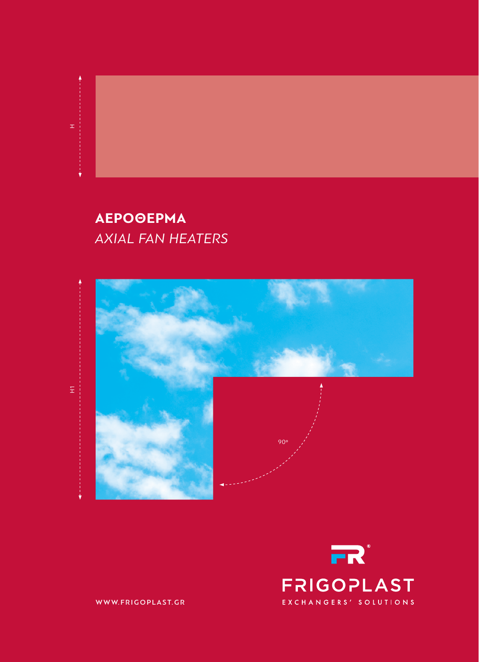# **ΑΕΡΟΘΕΡΜΑ** *Axial Fan Heaters*

H



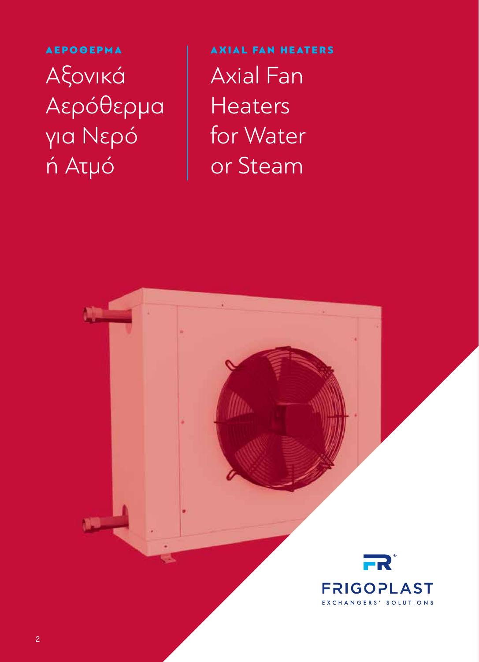ΑΕΡΟΘΕΡΜΑ Αξονικά Αερόθερμα για Νερό ή Ατμό

AXIAL FAN HEATERS Axial Fan **Heaters** for Water or Steam

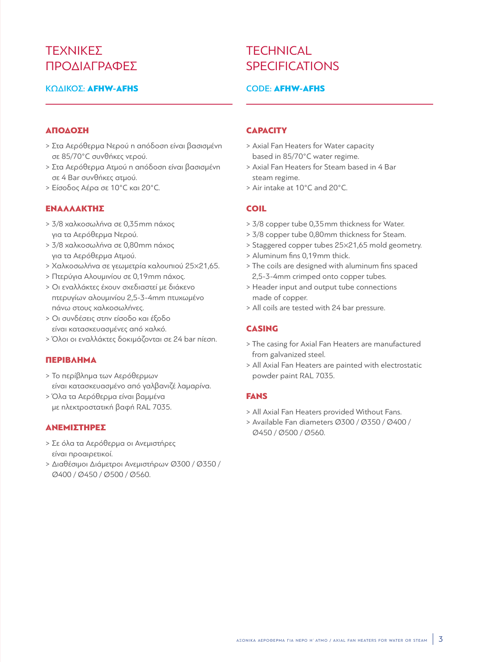## ΤΕΧΝΙΚΕΣ ΠΡΟΛΙΑΓΡΑΦΕΣ

### ΚΩΔΙΚΟΣ: **AFHW-AFHS**

# **TFCHNICAL SPECIFICATIONS**

#### Code: AFHW-AFHS

#### ΑΠΟΔΟΣΗ

- > Στα Αερόθερμα Νερού η απόδοση είναι βασισμένη σε 85/70°C συνθήκες νερού.
- > Στα Αερόθερμα Ατμού η απόδοση είναι βασισμένη σε 4 Bar συνθήκες ατμού.
- > Είσοδος Αέρα σε 10°C και 20°C.

#### ΕΝΑΛΛΑΚΤΗΣ

- > 3/8 χαλκοσωλήνα σε 0,35mm πάχος για τα Αερόθερμα Νερού.
- > 3/8 χαλκοσωλήνα σε 0,80mm πάχος για τα Αερόθερμα Ατμού.
- > Χαλκοσωλήνα σε γεωμετρία καλουπιού 25×21,65.
- > Πτερύγια Αλουμινίου σε 0,19mm πάχος.
- > Οι εναλλάκτες έχουν σχεδιαστεί με διάκενο πτερυγίων αλουμινίου 2,5-3-4mm πτυχωμένο πάνω στους χαλκοσωλήνες.
- > Οι συνδέσεις στην είσοδο και έξοδο είναι κατασκευασμένες από χαλκό.
- > Όλοι οι εναλλάκτες δοκιμάζονται σε 24 bar πίεση.

#### ΠερίβληΜΑ

- > Το περίβλημα των Αερόθερμων είναι κατασκευασμένο από γαλβανιζέ λαμαρίνα.
- > Όλα τα Αερόθερμα είναι βαμμένα με ηλεκτροστατική βαφή RAL 7035.

#### **ΑΝΕΜΙΣΤΗΡΕΣ**

- > Σε όλα τα Αερόθερμα οι Ανεμιστήρες είναι προαιρετικοί.
- > διαθέσιμοι διάμετροι Ανεμιστήρων Ø300 / Ø350 / Ø400 / Ø450 / Ø500 / Ø560.

#### **CAPACITY**

- > Axial Fan Heaters for Water capacity based in 85/70°C water regime.
- > Axial Fan Heaters for Steam based in 4 Bar steam regime.
- > Air intake at 10°C and 20°C.

#### **COIL**

- > 3/8 copper tube 0,35mm thickness for Water.
- > 3/8 copper tube 0,80mm thickness for Steam.
- > Staggered copper tubes 25×21,65 mold geometry.
- > Aluminum fins 0,19mm thick.
- > The coils are designed with aluminum fins spaced 2,5-3-4mm crimped onto copper tubes.
- > Header input and output tube connections made of copper.
- > All coils are tested with 24 bar pressure.

### **CASING**

- > The casing for Axial Fan Heaters are manufactured from galvanized steel.
- > All Axial Fan Heaters are painted with electrostatic powder paint RAL 7035.

#### **FANS**

- > All Axial Fan Heaters provided Without Fans.
- > Available Fan diameters Ø300 / Ø350 / Ø400 / Ø450 / Ø500 / Ø560.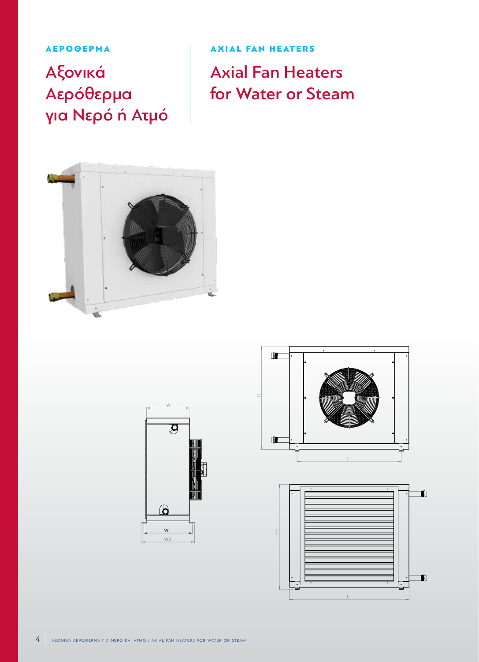ΑΕΡΟΘΕΡΜΑ

Αξονικά Αερόθερμα για Νερό ή Ατμό

AXIAL FAN HEATERS Axial Fan Heaters for Water or Steam









 $\overline{\pm}$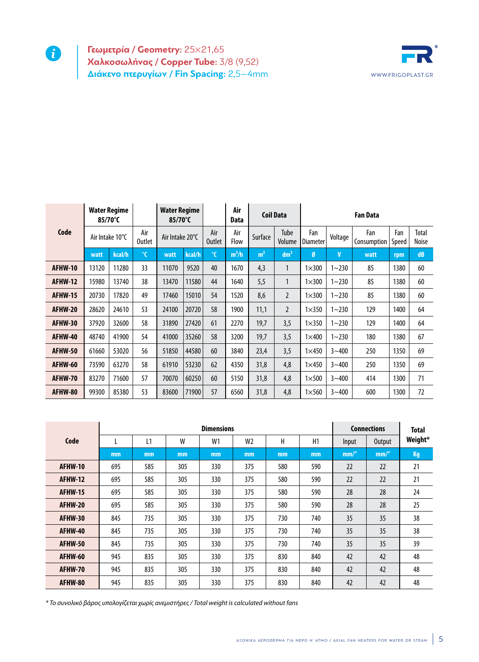**Γεωμετρία / Geometry:** 25×21,65 **Χαλκοσωλήνας / Copper Tube:** 3/8 (9,52) **Διάκενο πτερυγίων / Fin Spacing:** 2,5–4mm

0



|         | <b>Water Regime</b><br>85/70°C |        |                      | <b>Water Regime</b><br>85/70°C |        |                      | Air<br><b>Coil Data</b><br>Data |                |                 | <b>Fan Data</b>        |             |                    |              |                       |
|---------|--------------------------------|--------|----------------------|--------------------------------|--------|----------------------|---------------------------------|----------------|-----------------|------------------------|-------------|--------------------|--------------|-----------------------|
| Code    | Air Intake 10°C                |        | Air<br><b>Outlet</b> | Air Intake 20°C                |        | Air<br><b>Outlet</b> | Air<br>Flow                     | Surface        | Tube<br>Volume  | Fan<br><b>Diameter</b> | Voltage     | Fan<br>Consumption | Fan<br>Speed | Total<br><b>Noise</b> |
| watt    |                                | kcal/h | $\mathcal{C}$        | watt                           | kcal/h | $\mathcal{C}$        | $m^3/h$                         | m <sup>2</sup> | dm <sup>3</sup> | Ø                      | $\mathbf v$ | watt               | rpm          | dB                    |
| AFHW-10 | 13120                          | 11280  | 33                   | 11070                          | 9520   | 40                   | 1670                            | 4,3            | $\mathbf{1}$    | $1\times300$           | $1 - 230$   | 85                 | 1380         | 60                    |
| AFHW-12 | 15980                          | 13740  | 38                   | 13470                          | 11580  | 44                   | 1640                            | 5,5            | 1               | $1\times300$           | $1 - 230$   | 85                 | 1380         | 60                    |
| AFHW-15 | 20730                          | 17820  | 49                   | 17460                          | 15010  | 54                   | 1520                            | 8,6            | $\overline{2}$  | $1\times300$           | $1 - 230$   | 85                 | 1380         | 60                    |
| AFHW-20 | 28620                          | 24610  | 53                   | 24100                          | 20720  | 58                   | 1900                            | 11,1           | $\overline{2}$  | $1\times 350$          | $1 - 230$   | 129                | 1400         | 64                    |
| AFHW-30 | 37920                          | 32600  | 58                   | 31890                          | 27420  | 61                   | 2270                            | 19,7           | 3,5             | $1\times 350$          | $1 - 230$   | 129                | 1400         | 64                    |
| AFHW-40 | 48740                          | 41900  | 54                   | 41000                          | 35260  | 58                   | 3200                            | 19,7           | 3,5             | $1\times 400$          | $1 - 230$   | 180                | 1380         | 67                    |
| AFHW-50 | 61660                          | 53020  | 56                   | 51850                          | 44580  | 60                   | 3840                            | 23,4           | 3,5             | $1\times 450$          | $3 - 400$   | 250                | 1350         | 69                    |
| AFHW-60 | 73590                          | 63270  | 58                   | 61910                          | 53230  | 62                   | 4350                            | 31,8           | 4,8             | $1\times 450$          | $3 - 400$   | 250                | 1350         | 69                    |
| AFHW-70 | 83270                          | 71600  | 57                   | 70070                          | 60250  | 60                   | 5150                            | 31,8           | 4,8             | $1\times 500$          | $3 - 400$   | 414                | 1300         | 71                    |
| AFHW-80 | 99300                          | 85380  | 53                   | 83600                          | 71900  | 57                   | 6560                            | 31,8           | 4,8             | $1\times 560$          | $3 - 400$   | 600                | 1300         | 72                    |

|                |     |     | <b>Connections</b> | <b>Total</b> |                |     |     |       |        |         |
|----------------|-----|-----|--------------------|--------------|----------------|-----|-----|-------|--------|---------|
| Code           |     | L1  | W                  | W1           | W <sub>2</sub> | Н   | H1  | Input | Output | Weight* |
|                | mm  | mm  | mm                 | mm           | mm             | mm  | mm  | mm''  | mm''   | Kg      |
| <b>AFHW-10</b> | 695 | 585 | 305                | 330          | 375            | 580 | 590 | 22    | 22     | 21      |
| AFHW-12        | 695 | 585 | 305                | 330          | 375            | 580 | 590 | 22    | 22     | 21      |
| <b>AFHW-15</b> | 695 | 585 | 305                | 330          | 375            | 580 | 590 | 28    | 28     | 24      |
| AFHW-20        | 695 | 585 | 305                | 330          | 375            | 580 | 590 | 28    | 28     | 25      |
| AFHW-30        | 845 | 735 | 305                | 330          | 375            | 730 | 740 | 35    | 35     | 38      |
| AFHW-40        | 845 | 735 | 305                | 330          | 375            | 730 | 740 | 35    | 35     | 38      |
| AFHW-50        | 845 | 735 | 305                | 330          | 375            | 730 | 740 | 35    | 35     | 39      |
| AFHW-60        | 945 | 835 | 305                | 330          | 375            | 830 | 840 | 42    | 42     | 48      |
| AFHW-70        | 945 | 835 | 305                | 330          | 375            | 830 | 840 | 42    | 42     | 48      |
| AFHW-80        | 945 | 835 | 305                | 330          | 375            | 830 | 840 | 42    | 42     | 48      |

*\* Το συνολικό βάρος υπολογίζεται χωρίς ανεμιστήρες / Total weight is calculated without fans*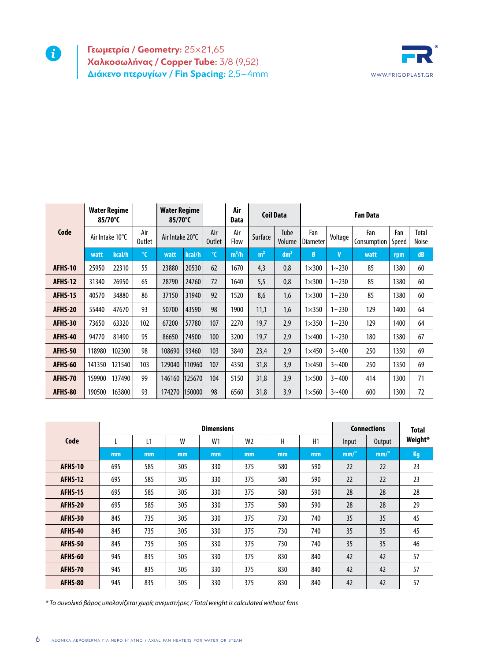**Γεωμετρία / Geometry:** 25×21,65 **Χαλκοσωλήνας / Copper Tube:** 3/8 (9,52) **Διάκενο πτερυγίων / Fin Spacing:** 2,5–4mm **WWW.FRIGOPLAST.GR** 



|                | <b>Water Regime</b><br>85/70°C |        |                      | <b>Water Regime</b><br>85/70°C |        |                      | Air<br><b>Data</b> |                | <b>Coil Data</b> | <b>Fan Data</b> |             |                    |              |                |
|----------------|--------------------------------|--------|----------------------|--------------------------------|--------|----------------------|--------------------|----------------|------------------|-----------------|-------------|--------------------|--------------|----------------|
| Code           | Air Intake 10°C                |        | Air<br><b>Outlet</b> | Air Intake 20°C                |        | Air<br><b>Outlet</b> | Air<br>Flow        | Surface        | Tube<br>Volume   | Fan<br>Diameter | Voltage     | Fan<br>Consumption | Fan<br>Speed | Total<br>Noise |
|                | watt                           | kcal/h | $\mathbf{C}$         | watt                           | kcal/h | $^{\circ}$ C         | $m^3/h$            | m <sup>2</sup> | dm <sup>3</sup>  | Ø               | $\mathbf v$ | watt               | rpm          | dB             |
| AFHS-10        | 25950                          | 22310  | 55                   | 23880                          | 20530  | 62                   | 1670               | 4,3            | 0,8              | $1\times300$    | $1 - 230$   | 85                 | 1380         | 60             |
| <b>AFHS-12</b> | 31340                          | 26950  | 65                   | 28790                          | 24760  | 72                   | 1640               | 5,5            | 0,8              | $1\times300$    | $1 - 230$   | 85                 | 1380         | 60             |
| <b>AFHS-15</b> | 40570                          | 34880  | 86                   | 37150                          | 31940  | 92                   | 1520               | 8,6            | 1,6              | $1\times300$    | $1 - 230$   | 85                 | 1380         | 60             |
| AFHS-20        | 55440                          | 47670  | 93                   | 50700                          | 43590  | 98                   | 1900               | 11,1           | 1,6              | $1\times350$    | $1 - 230$   | 129                | 1400         | 64             |
| AFHS-30        | 73650                          | 63320  | 102                  | 67200                          | 57780  | 107                  | 2270               | 19,7           | 2,9              | $1\times350$    | $1 - 230$   | 129                | 1400         | 64             |
| AFHS-40        | 94770                          | 81490  | 95                   | 86650                          | 74500  | 100                  | 3200               | 19,7           | 2,9              | $1\times 400$   | $1 - 230$   | 180                | 1380         | 67             |
| AFHS-50        | 118980                         | 102300 | 98                   | 108690                         | 93460  | 103                  | 3840               | 23,4           | 2,9              | $1\times 450$   | $3 - 400$   | 250                | 1350         | 69             |
| AFHS-60        | 141350                         | 121540 | 103                  | 129040                         | 110960 | 107                  | 4350               | 31,8           | 3,9              | $1\times 450$   | $3 - 400$   | 250                | 1350         | 69             |
| AFHS-70        | 159900                         | 137490 | 99                   | 146160                         | 125670 | 104                  | 5150               | 31,8           | 3,9              | $1\times 500$   | $3 - 400$   | 414                | 1300         | 71             |
| AFHS-80        | 190500                         | 163800 | 93                   | 174270                         | 150000 | 98                   | 6560               | 31,8           | 3,9              | $1\times 560$   | $3 - 400$   | 600                | 1300         | 72             |

|                |     |     | <b>Connections</b> | <b>Total</b> |                |     |     |       |               |         |
|----------------|-----|-----|--------------------|--------------|----------------|-----|-----|-------|---------------|---------|
| Code           |     | L1  | W                  | W1           | W <sub>2</sub> | Н   | H1  | Input | <b>Output</b> | Weight* |
|                | mm  | mm  | mm                 | mm           | mm             | mm  | mm  | mm/'' | mm/''         | Kg      |
| AFHS-10        | 695 | 585 | 305                | 330          | 375            | 580 | 590 | 22    | 22            | 23      |
| AFHS-12        | 695 | 585 | 305                | 330          | 375            | 580 | 590 | 22    | 22            | 23      |
| <b>AFHS-15</b> | 695 | 585 | 305                | 330          | 375            | 580 | 590 | 28    | 28            | 28      |
| AFHS-20        | 695 | 585 | 305                | 330          | 375            | 580 | 590 | 28    | 28            | 29      |
| AFHS-30        | 845 | 735 | 305                | 330          | 375            | 730 | 740 | 35    | 35            | 45      |
| AFHS-40        | 845 | 735 | 305                | 330          | 375            | 730 | 740 | 35    | 35            | 45      |
| AFHS-50        | 845 | 735 | 305                | 330          | 375            | 730 | 740 | 35    | 35            | 46      |
| AFHS-60        | 945 | 835 | 305                | 330          | 375            | 830 | 840 | 42    | 42            | 57      |
| AFHS-70        | 945 | 835 | 305                | 330          | 375            | 830 | 840 | 42    | 42            | 57      |
| AFHS-80        | 945 | 835 | 305                | 330          | 375            | 830 | 840 | 42    | 42            | 57      |

*\* Το συνολικό βάρος υπολογίζεται χωρίς ανεμιστήρες / Total weight is calculated without fans*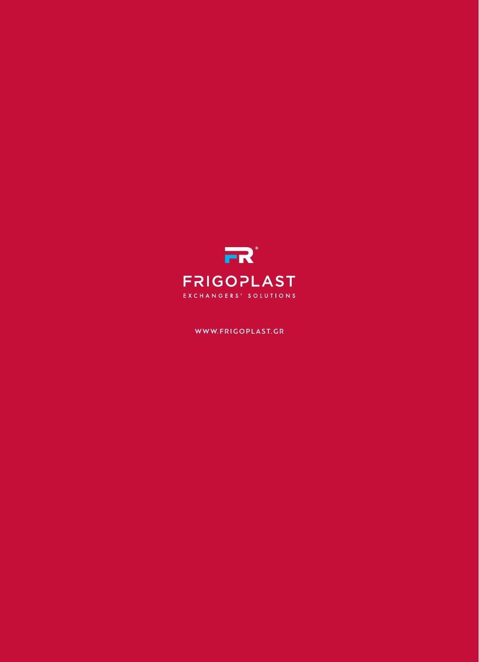

### WWW. FRIGOPLAST. GR